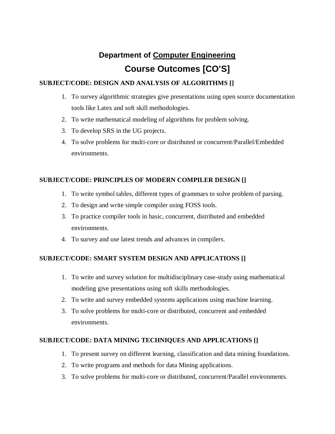# **Department of Computer Engineering Course Outcomes [CO'S]**

# **SUBJECT/CODE: DESIGN AND ANALYSIS OF ALGORITHMS []**

- 1. To survey algorithmic strategies give presentations using open source documentation tools like Latex and soft skill methodologies.
- 2. To write mathematical modeling of algorithms for problem solving.
- 3. To develop SRS in the UG projects.
- 4. To solve problems for multi-core or distributed or concurrent/Parallel/Embedded environments.

## **SUBJECT/CODE: PRINCIPLES OF MODERN COMPILER DESIGN []**

- 1. To write symbol tables, different types of grammars to solve problem of parsing.
- 2. To design and write simple compiler using FOSS tools.
- 3. To practice compiler tools in basic, concurrent, distributed and embedded environments.
- 4. To survey and use latest trends and advances in compilers.

# **SUBJECT/CODE: SMART SYSTEM DESIGN AND APPLICATIONS []**

- 1. To write and survey solution for multidisciplinary case-study using mathematical modeling give presentations using soft skills methodologies.
- 2. To write and survey embedded systems applications using machine learning.
- 3. To solve problems for multi-core or distributed, concurrent and embedded environments.

# **SUBJECT/CODE: DATA MINING TECHNIQUES AND APPLICATIONS []**

- 1. To present survey on different learning, classification and data mining foundations.
- 2. To write programs and methods for data Mining applications.
- 3. To solve problems for multi-core or distributed, concurrent/Parallel environments.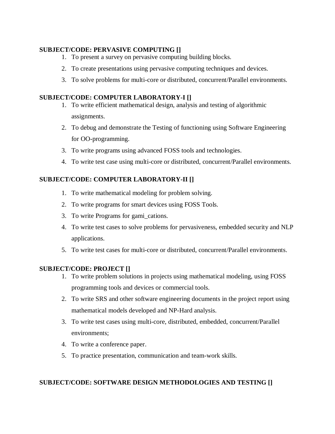## **SUBJECT/CODE: PERVASIVE COMPUTING []**

- 1. To present a survey on pervasive computing building blocks.
- 2. To create presentations using pervasive computing techniques and devices.
- 3. To solve problems for multi-core or distributed, concurrent/Parallel environments.

# **SUBJECT/CODE: COMPUTER LABORATORY-I []**

- 1. To write efficient mathematical design, analysis and testing of algorithmic assignments.
- 2. To debug and demonstrate the Testing of functioning using Software Engineering for OO-programming.
- 3. To write programs using advanced FOSS tools and technologies.
- 4. To write test case using multi-core or distributed, concurrent/Parallel environments.

# **SUBJECT/CODE: COMPUTER LABORATORY-II []**

- 1. To write mathematical modeling for problem solving.
- 2. To write programs for smart devices using FOSS Tools.
- 3. To write Programs for gami\_cations.
- 4. To write test cases to solve problems for pervasiveness, embedded security and NLP applications.
- 5. To write test cases for multi-core or distributed, concurrent/Parallel environments.

## **SUBJECT/CODE: PROJECT []**

- 1. To write problem solutions in projects using mathematical modeling, using FOSS programming tools and devices or commercial tools.
- 2. To write SRS and other software engineering documents in the project report using mathematical models developed and NP-Hard analysis.
- 3. To write test cases using multi-core, distributed, embedded, concurrent/Parallel environments;
- 4. To write a conference paper.
- 5. To practice presentation, communication and team-work skills.

# **SUBJECT/CODE: SOFTWARE DESIGN METHODOLOGIES AND TESTING []**